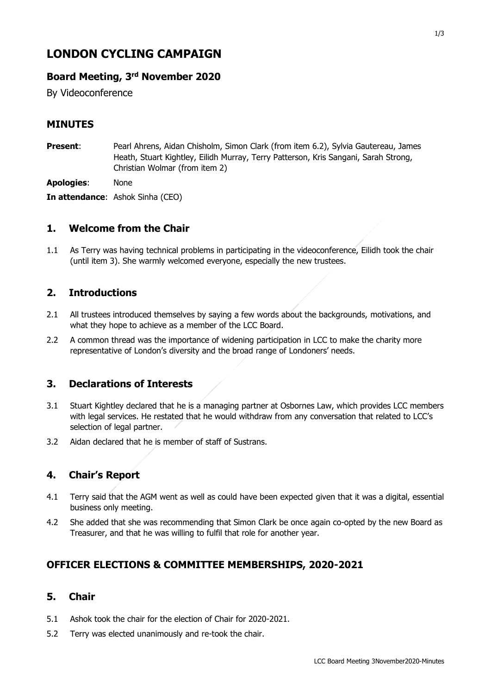# **LONDON CYCLING CAMPAIGN**

# **Board Meeting, 3 rd November 2020**

By Videoconference

## **MINUTES**

**Present**: Pearl Ahrens, Aidan Chisholm, Simon Clark (from item 6.2), Sylvia Gautereau, James Heath, Stuart Kightley, Eilidh Murray, Terry Patterson, Kris Sangani, Sarah Strong, Christian Wolmar (from item 2)

**Apologies**: None

**In attendance**: Ashok Sinha (CEO)

### **1. Welcome from the Chair**

1.1 As Terry was having technical problems in participating in the videoconference, Eilidh took the chair (until item 3). She warmly welcomed everyone, especially the new trustees.

# **2. Introductions**

- 2.1 All trustees introduced themselves by saying a few words about the backgrounds, motivations, and what they hope to achieve as a member of the LCC Board.
- 2.2 A common thread was the importance of widening participation in LCC to make the charity more representative of London's diversity and the broad range of Londoners' needs.

# **3. Declarations of Interests**

- 3.1 Stuart Kightley declared that he is a managing partner at Osbornes Law, which provides LCC members with legal services. He restated that he would withdraw from any conversation that related to LCC's selection of legal partner.
- 3.2 Aidan declared that he is member of staff of Sustrans.

#### **4. Chair's Report**

- 4.1 Terry said that the AGM went as well as could have been expected given that it was a digital, essential business only meeting.
- 4.2 She added that she was recommending that Simon Clark be once again co-opted by the new Board as Treasurer, and that he was willing to fulfil that role for another year.

# **OFFICER ELECTIONS & COMMITTEE MEMBERSHIPS, 2020-2021**

#### **5. Chair**

- 5.1 Ashok took the chair for the election of Chair for 2020-2021.
- 5.2 Terry was elected unanimously and re-took the chair.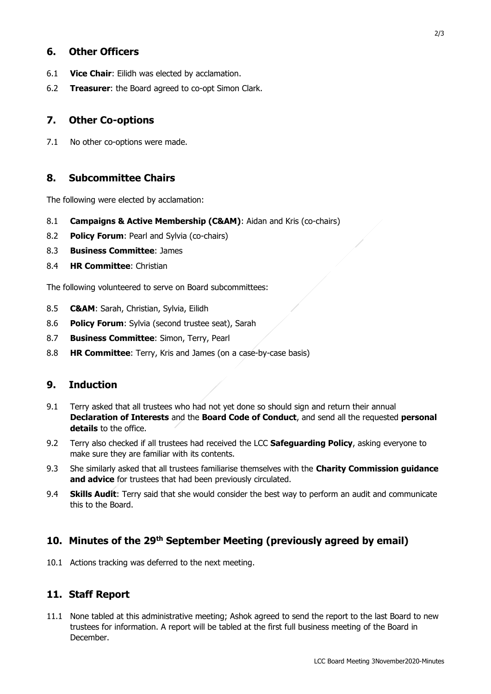#### **6. Other Officers**

- 6.1 **Vice Chair**: Eilidh was elected by acclamation.
- 6.2 **Treasurer**: the Board agreed to co-opt Simon Clark.

#### **7. Other Co-options**

7.1 No other co-options were made.

#### **8. Subcommittee Chairs**

The following were elected by acclamation:

- 8.1 **Campaigns & Active Membership (C&AM)**: Aidan and Kris (co-chairs)
- 8.2 **Policy Forum**: Pearl and Sylvia (co-chairs)
- 8.3 **Business Committee**: James
- 8.4 **HR Committee**: Christian

The following volunteered to serve on Board subcommittees:

- 8.5 **C&AM**: Sarah, Christian, Sylvia, Eilidh
- 8.6 **Policy Forum**: Sylvia (second trustee seat), Sarah
- 8.7 **Business Committee**: Simon, Terry, Pearl
- 8.8 **HR Committee**: Terry, Kris and James (on a case-by-case basis)

#### **9. Induction**

- 9.1 Terry asked that all trustees who had not yet done so should sign and return their annual **Declaration of Interests** and the **Board Code of Conduct**, and send all the requested **personal details** to the office.
- 9.2 Terry also checked if all trustees had received the LCC **Safeguarding Policy**, asking everyone to make sure they are familiar with its contents.
- 9.3 She similarly asked that all trustees familiarise themselves with the **Charity Commission guidance and advice** for trustees that had been previously circulated.
- 9.4 **Skills Audit**: Terry said that she would consider the best way to perform an audit and communicate this to the Board.

#### **10. Minutes of the 29th September Meeting (previously agreed by email)**

10.1 Actions tracking was deferred to the next meeting.

#### **11. Staff Report**

11.1 None tabled at this administrative meeting; Ashok agreed to send the report to the last Board to new trustees for information. A report will be tabled at the first full business meeting of the Board in December.